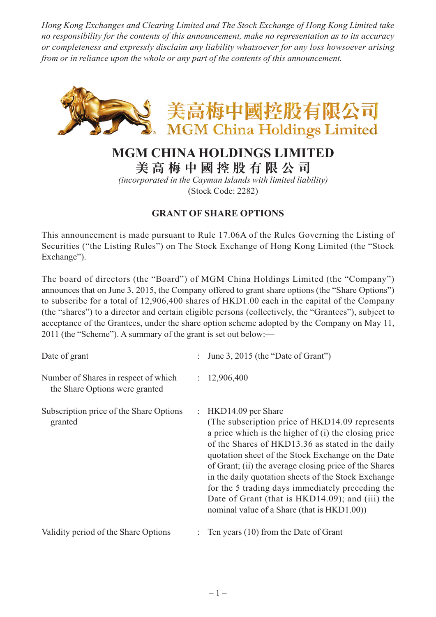*Hong Kong Exchanges and Clearing Limited and The Stock Exchange of Hong Kong Limited take no responsibility for the contents of this announcement, make no representation as to its accuracy or completeness and expressly disclaim any liability whatsoever for any loss howsoever arising from or in reliance upon the whole or any part of the contents of this announcement.*



## **MGM CHINA HOLDINGS LIMITED**

**美 高 梅 中 國 控 股 有 限 公 司**

*(incorporated in the Cayman Islands with limited liability)* (Stock Code: 2282)

## **GRANT OF SHARE OPTIONS**

This announcement is made pursuant to Rule 17.06A of the Rules Governing the Listing of Securities ("the Listing Rules") on The Stock Exchange of Hong Kong Limited (the "Stock Exchange").

The board of directors (the "Board") of MGM China Holdings Limited (the "Company") announces that on June 3, 2015, the Company offered to grant share options (the "Share Options") to subscribe for a total of 12,906,400 shares of HKD1.00 each in the capital of the Company (the "shares") to a director and certain eligible persons (collectively, the "Grantees"), subject to acceptance of the Grantees, under the share option scheme adopted by the Company on May 11, 2011 (the "Scheme"). A summary of the grant is set out below:—

| Date of grant                                                          |   | : June 3, 2015 (the "Date of Grant")                                                                                                                                                                                                                                                                                                                                                                                                                                                                          |
|------------------------------------------------------------------------|---|---------------------------------------------------------------------------------------------------------------------------------------------------------------------------------------------------------------------------------------------------------------------------------------------------------------------------------------------------------------------------------------------------------------------------------------------------------------------------------------------------------------|
| Number of Shares in respect of which<br>the Share Options were granted |   | 12,906,400                                                                                                                                                                                                                                                                                                                                                                                                                                                                                                    |
| Subscription price of the Share Options<br>granted                     | ÷ | HKD14.09 per Share<br>(The subscription price of HKD14.09 represents)<br>a price which is the higher of (i) the closing price<br>of the Shares of HKD13.36 as stated in the daily<br>quotation sheet of the Stock Exchange on the Date<br>of Grant; (ii) the average closing price of the Shares<br>in the daily quotation sheets of the Stock Exchange<br>for the 5 trading days immediately preceding the<br>Date of Grant (that is HKD14.09); and (iii) the<br>nominal value of a Share (that is HKD1.00)) |
| Validity period of the Share Options                                   |   | Ten years (10) from the Date of Grant                                                                                                                                                                                                                                                                                                                                                                                                                                                                         |